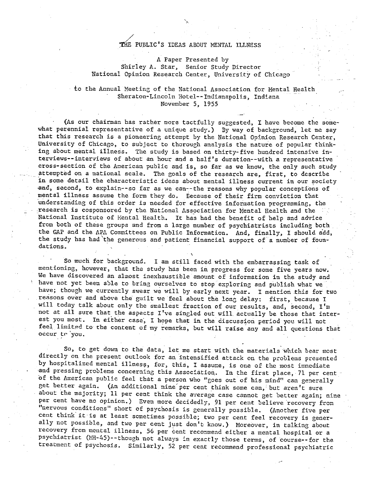## THE PUBLIC'S IDEAS ABOUT MENTAL ILLNESS

**A** Paper Presented by Shirley **A. Star,** Senior Study Director National Opinion **Research** Center, University of Chicago

to the Annual Meeting of the National Association for Mental Health Sheraton-Lincoln Hotel--Indianapolis, Indiana November 5, 1955

(As **our** chairman **has rather** more tactfully suggested, **I:** have become the **some**what perennial **representative** of a **unique** study.) By **way** of background, let me say that this research **is** a pioneering attempt by **the** National Opinion Research Center, University of Chicago, to subject to **thorough** analysis the **nature** of popular think**ing about** mental illness. The **study** is based on thirty-five hundred intensive **in**terviews--interviews of about an hour and a half's duration--with a representative cross-sectlon of **the** Anerlcan publlc and is, so far as **we** know, the **only** such study **attempted** on a national **scale.** The goals of the **research** are, first, to describe in sone detail the characteristic ideas about mental illness current in our society and, second, to explain--so far as we can--the reasons **why** popular conceptions **of**  mental illness assume the form they do. Eecause of their firm conviction that understanding of this order is needed for effective information programming, the - **research** is cosponsored **by** the Nattonal **Association** for Nenral Health and **the**  National. **Institute** of Pyental **Health.** *It* **has had** *the* **benefit of** *help* and **advlce from** both of these groups and fron a **large** number of psychiatrists including **both**  the GAP and the APA Committees on Public Information. And, finally, I should add, the study has had the generous and patient financial support of a number of foundations.

**So** much for **Sackground.** I am still **faced** with the embarrassing task of mentioning, however, that the study *has* been in progress for **some** five years now. We have discovered an alnost inexhaustible **anoznt** of information in the **study** and have not yet been able to bring ourselves to stop exploring and publish what we **have;** though **[.re** currently **swear we** will **3y** early next year. I **mention** this **for two**  reasons over **and** a5ove the **guilt** we feel **about** the Ion: **delay:** first, because I will today talk about only the smallest fraction of our results, and, second, I'm not at all sure that the aspects I've singled out will actually be those that interest you most. In either case, I hope that in the discussion period you will not feel limited to the content of my remarks, but will raise any and all questions that **occur tr 'you.** 

**So, to get down to the data,** let me start with the **marerials** which bear most **directly** on *the* present outlook Ear an intensified attack on the **problems** presented by **hospitalized** mental **illnesg,** for, this, I assuxe, is one of **the most** inmediate and pressing problems concerning this Association. In the first place, 71 per cent of the Anerican pu5lic **feel** that a person **who** "goes out **of** his mindfi can generally **get** better again. **(An addrtional** nine' per cent think **same can,** but **aren't** sure about the majority; Il per cent think the average case cannot get better again; nine per cent have no opinion.) Even more decidedly, 91 per cent believe recovery from nervous conditions" short of psychosis is generally possible. (Another five per cent **thick** it is at least sometimes possible; two per cent feel recovery **is gener**ally not possible, and two **per cent just** don't **kaow.)** Moreover, in **talking** about **recovery** from mental illness, 56 per **cent** reconmend either a nental hospital or a psychiatrist (MH-45)--though not always in exactly those terms, of course--for the treaemect **of** psychosis. Similarly, 52 **per** cent recornend professional **psychiatric**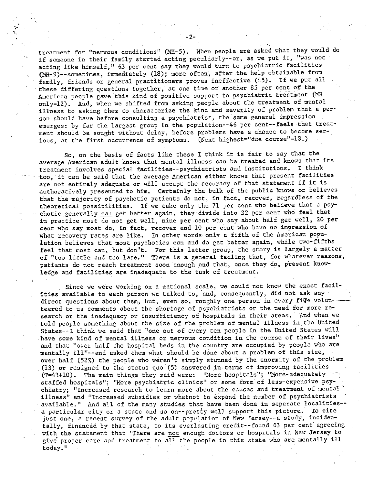**treatment for** '!ner~ous conditions" **{la-5).** When people **are asked** what they would do **if** somaone in their family started acting peculiarly--or, as **we** put it, "was not acting like himself," 63 per cent say they would turn to psychiatric facilities (NH-9)--somet:mes, immediately **(18)** ; **more** often, after the help obtainable from fasily, friends or general practitioners proves ineffecrive (45). If **we** put all these differing questions together, at one time or another 85 per cent of the American people gave this kind of positive support to psychiatric treatment (MH only=12). And, when we shifted from asking people about the treatment of mental fllness to asking **then ro** characterize the kind and severity of problem that a person should have before consulting a psychiatrist, the same general impression **emerges:** 5y far the largest group in the population--46 per cent--feels that treatment should be sought without delay, before problems **have** a chance to become **ser**ious, at the first occurrence of symptoms. (Next highest="due course"=18.)

 $-2-$ 

- -

**So,** on the basis of facts like these I think it is **fair** to say that the average American **adult knows** that mental illness can 5e treated and knows that its treatment involves special facilities--psychiatrists and institutions. I think **too,** it can be said that the average hnerican either **knows** that present facilities are not entirely adequate or will accept the **accuracy** of that statement if **it is**  authoratively presented to him. **Certainly** the bulk of the **public** knows or believes **that** the majority of psychotic **patients** do not, in **fact, recover,** regardless of **the**  theoretical possibilities. If we take only the 71 per cent who believe that a psy-<br>chotic generally can get better again, they divide into 32 per cent who feel that in practice most do not **get** well, nine per cent **who** say about half **get** well, 20 per cent **who say** most do, in fact, recover and **10** per cent who have no inpression of what **recovery rates** are like. **In** other **words only** a ftfth of the American population **believes** that most psychotics can aad do get better again, while two-fifths **feel** that most can, **but** don't. For **this** latter group, **the** story is **largely** a matter of "too little and too late." There is a general feeling that, **for** whatever reasons, patients do not reach treatment soon enough *and* that, once they do, present knouledge and facilities are inadequate to the task of treatment.

**Since we** were working on a national scale, we could not **know** the exact facil**ities available** to each person we talked to, and, consequently, did **not** ask any direct questions abour them, but, even **so,** roughly one person in **every fig?** volun- **teered** to us comments about the shortage of psychiatrists or the need **for** more re**search** or the inadequacy or insufficiency of hospitais in their areas. And **when we**  told people something about the size of the problem of mental illness in the United States--1 think **we** said that "one out of **every** ten people in the United States will have some kind of mental **illness** or nervous condition in the **course** of their lives" and that *"over* half the hospital beds in the country are occupied by **people** who are mentally ill1'--and asked them what should be done **about** a problem of this size, over half (52%) the people who weren't simply stunned by the enormity of the problem (13) or resigned to the status quo **(5)** answered in **terns** of improving facilities (T=43+10). The main things they said were: 'More hospitals"; "More-adequately staffed hospitals"; "More psychiatric clinics" or some form of less-expensive psychiatry; "Tncreased research to learn **more** about the causes and treatment of **mental** ' chiatry; "Increased research to learn more about the causes and treatment of mental \<br>illness" and "Increased subsidies or whatnot to expand the number of psychiatrists illness" and "Increased subsidies or whatnot to expand the number of psychiatrists '<br>available." And all of the many studies that have been done in separate localities-a particular city or a state and so on--pretty well support this picture. To cite just one, a recent **survey** of the adult popvlation of New Jersey--a study, incidentally, financed by that state, to its everlasting credit--found 63 per cent agreeing with the statement that "There are not enough doctors or hospitals in New Jersey to **give** proper care **and** treatmen: to **all** the people in this state who are mentally ill today."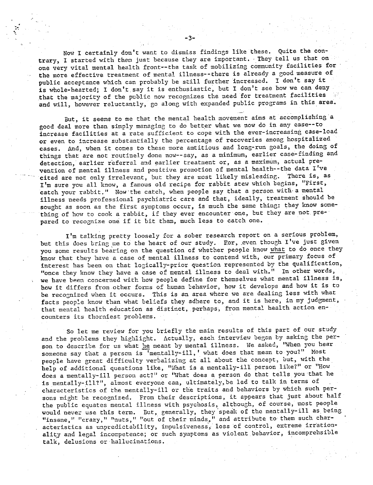Now I certainly don't want to dismiss findings like these. Quite the contrary, I started with them just because they are important. They tell us that on one **very vital mental** health front--the task of mobilizing community facilities for the more effective treatment of mental illness--there is already a good measure of **public** acceptance which can probably be still **further increased. 1** don't **say** it is whole-hearted; I don't say it **is** enthusiastic, but I don't see **how we** can deny **that the** majority **of** the public now **recognizes the need** for treatment facilities and will, however reluctantly, go along with expanded public programs in this area.<br>Rut, it seems to me that the mental health movement aims at accomplishing a

good deal more **than** simply **managing** to do better what we now do in any case--to increase facilities at a rate sufficient to cope **with** the ever-increasing case-load or even to increase substantially **the** percentage of **recoveries among** hospitalized cases. And, **when** it cones to these more amtitious and **long-run goals, the** doing **of**  things that are not **routinely** done now--say, as a minimum, **earlier** case-finding **and**  detection, earlier referral **and** earlier treatnent or, as a maximum, actual **pre**vention of mental illness and positive promotion of mental health--the data I've cited are not only irrelevant, but they are most likely misleading. There is, as I'm sure you all know, **a** famous **old** recipe for rabbit **stew which** begins, "First, catch your rabbit." Now the catch, when people say that a person with a mental illness needs professional psychiatric care and **that,** ideally, treatment should be **sought** as soon as the first symptoms occur, is much **the** same thing: they know something of how to cook a rabbit, if they ever encounter one, **hut** they are not prepared to recognize one if it bit them, much less to catch one.

I'm talking pretty loosely for a sober research report on a serious problem, but this does bring me to the heart of our study. For, even though I've just given **you some results bearing on the question of whether people know what to do once they** know that they have a case of mental illness to contend with, our primary focus of interest has Seen on that logically-prior questlon represented **by** the qualification, Itonce they know **they** have a case of mental illness to *deal* with." **In other words, we** have **been** concerned with hoe people define for themselves what mental **illness is,**  how it differs **from** other fom,s **04 human** Lehavior, **how it** develops **and** how it is to be recognized when it **occurs.** This is an **area** where **we** are dealing **less with** what facts people know than what beliefs they adhere to, and it is here, in my judgment, that mental health education as distiact, perhaps, from mental health action encounters its thorniest problers.

**So** let me **revlew** for **you briefly** tte **main results** of **this part of our** stu2y and the problems they highlight. Actually, each interview began by asking the person to describe for us what *he* meant by mental illness. We asked, "When you hear soneone say that a person is 'mentally-ill, ' **what** does **that** nean to **you?"** Most people have great difficulty verbalizing at all about the concept, but, with the help of additional questions like, "What is a mentally-ill person like?" or "How does a mentally-ill person act?" or "What does a person do that tells you that he is mentally-ill?", almost everyone can, ultimately, be led to talk in terms of characteristics of the mentally-ill or the traits and behaviors by which such per**sons** might *3e* recognized. From their descriptions, it appears that just about half the public equates mental illness with psychosis, although, of course, most people would never use **this term.** But, generally, they-speak of **the** mentally-ill as being "insane," "crazy," "nuts," "out of their minds," and attribute to them such characteristics as unpredictability, impulsiveness, loss of control, extreme irrationality and legal incompetence; or such symptoms as violent behavior, incomprehsible **talk,** delusions or hallucinations.

**-3-**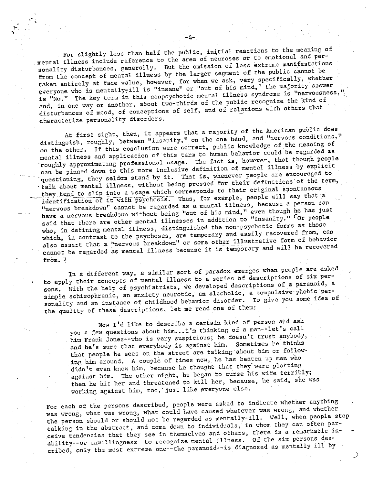For slightly less than half the public, initial reactions to the meaning of mental illness include reference to the **area** of **neuroses** or to emotional and personality disturbances, generally. But **the** omission of less extreme manifestations from the concept of mental illness by the larger segment of the public cannot be taken entirely at face value, however, for when we ask, very specifically, whether everyone whc is mentall>-: ill is "insane" or "out of his mind, I' **the** majority answer is "No." The key term in this nonpsychotic mental illness syndrome is "nervousness," and, in one way or another, about two-thirds of the public recognize the kind of d, in one way or another, about two-thirds of the pastral area of the others that sturbances of mood, or conceptions.

At first **sight,** then, it appears that a najority of the American public **does**  distinguish, roughly, between "insanity," on the one hand, and "nervous conditions," on the **ocher.** If this conclusion were correct, public knowledge of the **meaning of**  mental illness and application of this term to human behavior could be regarded as roughly approximating professional usage. The fact is, however, that though people **can** be pinned down to **this** more **inclusive** definition of **mental** illness by explicit questioning, they seldom stand by it. That is, whenever people are encouraged to questioning, they seldom stand by it. That is, whenever preferences of the term, <br>talk about mental illness, without being pressed for their definitions of the term, they tend to slip into a usage which corresponds to their original spontaneous<br>identification of it with psychosis. Thus, for example, people will say that a **"nervous** Sreakdown" canzot be regarded as a **nental** illness, because a person can **have** a nervous breakdown withour **being** "out of **his** mind," *even* **though** he has just said that there are other mental illnesses in addition to "insanity." For people who, in defining mental illness, distinguished the non-psychotic forms as those which, in contrast to the psychoses, are temporary and easily recovered from, can also assert that a <sup>n</sup>nervous breakdown" or some other illustrative form of behavior lso assert that a <sup>n</sup>nervous breakdown" or some other iffustivative form of semi-re**from. 2** 

In a different way, a similar sort of paradox emerges when people are asked to apply their concepts of **nental illness** to a series of descrrptions **of six** persons. With the help of psychiatrists, we developed **descriptions** of a paranoid, a **simple** schizophrenic, an anxiety neurotic, **an** alcoholic, a campulsive-phobic per**sonality** and an instance of childhood behavior **dlsorder.** To give you **some idea of**  the quality of **these** descriptions, let me read **one** of then:

Now I'd like to **describe** a certain **kind** of person and **aslc**  you a few questions **about him.. .I 'm** thinking of a mzn--let **'s** call he a few questions about him... I m thinking of a man water that any body, and be's **sure** that everybody Is agacnst **him. Sometimes** he thinks and he's sure that everybody is against him. Sometimes he thinks that people he sees on the street are talking about him or following him around. A couple of times now, he has beaten up men who didn't even know him, because he thought that they were plotting against him. The **at5er** nizht, he bqan to **curse** his **wife** terribly; the him. The other night, he began to this was the wasworkin~ a~ainst him, too, just like **everyone** else.

**For each** of the persons described, people were asked to indicate whether anything  $\mathbf{w}$ as wrong, what was wrong, what could have caused whatever was wrong, and whether the person should or should not be regarded as mentally-ill. Well, when people stop talking in the **abstract, and** come down **to** individuals, in **whom** they can often perceive **tendencies** thzt they **see** In themselves and **others,** there is a remarlcable **in-**  ceive tendencies that they see in themselves and others, there is a remain<br>ability--or unwillingness--to recognize mental illness. Of the six persons des-<br>critically ill by

-1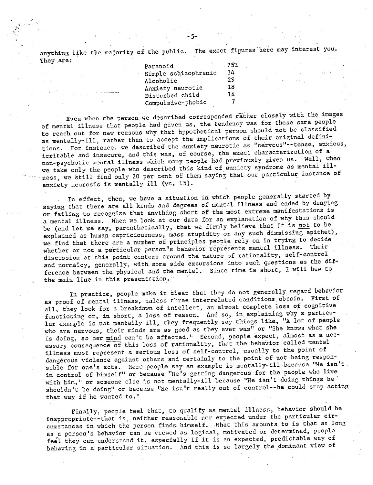**anything** like the rnalority of the public. The exact figures **here may** interest 70u. **They are:** 

| Paranoid             | - 75% |  |
|----------------------|-------|--|
| Simple schizophrenic | 34    |  |
| Alcoholic            | 29    |  |
| Anxiety neurotic     | 18    |  |
| Disturbed child      | 14    |  |
| Compulsive-phobic    |       |  |

Even **when the** person we described corresponded rgther closely with **the** images of mental illness **that:** people had given us, **the** tendencjr **was** for these same people to reach out **for** reasons **why** that hypothetical person should **not** be classified **as** mentally-ill, rather **than** to accept **the** implications of their original **defini**tions. For instance, we described the anxiety neurotic as "nervous"--tense, anxious, irritable **2nd** insecure, and this **was, of course,** the **exact characterlzatioo** of a non-psychotic mental illness which many people had previously given us. Well, when we take only the people who described this kind of anxiety syndrome as mental illness, we still find only 20 per cent of them saying that our particular instance of anxiety neurosis is mentally ill (vs. 15).

In effect, then, we have a situation in which people generally started by saying that there are all kinds and degrees of mental illness and ended by denying or failing to recognize that anything short of the most extreme manifestations is a mental illness. When we look at our data for an explanation of why this should be (and let me **say,** parenthetically, **that we** firmly believe that it is not to be explained as human capriciousness, mass stupidity or any such dismissing epithet), we find that there are a number of principles people rely on in trying to decide we like the there are a homogeneous of **permitted in the contract of the set of the set of the set of the set of the set of the set of the set of the set of the set of the set of the set of the set of the set of the set of** discussion at this point centers around the nature of rationality, self-control and normalcy, generally, with some **side** excursions into **such** questtons as the difference between the physical sad **the** mental. Since tine is short, **1** will **hew to**  the main line in this presentation.

**fn** practice, people **mske** it clear **that** they do not **generally** regard **behavior**  as proof of nental iilness, ualess three interrelated conditions obtain. First **of all,** they look for a **Lreakdown** of inrellecr, an almost complete loss of cognirive functioning or, in short, a loss of reason. And so, in explaining why a particu**lar exanpie** is not mentally ill, they frequently say things Like, **"A** lot of people **who** are nervous, their minds **are** as **good** as **:bey** ever **was1'** or "She lcnows what she is doing, so her mind can't be affected." Second, people expect, almost as a nec**essary** cansequence of this **loss** of rationality, that **the** behavior called xental illness must represent a serious loss of self-control, usually to the point of dangerous violence against others and certainly to the point of not being responsible for one's acts. Here people say an example is mentally-ill because "He isn't in control of himself" or because "He's getting dangerous for the people who live *with* **him," QT someone** else **is** not mentally-ill because **"He** isn't doing things he shouldn't: **be** doing" or **because "Be** isn't really out of control--he **could** stop acting that way if **he** wanted **to.''** 

**Finally,** people feel that, to **qualify** as mental Illness, behavior should **be**  inappropriate--that is, neither reasonable nor expected under the particular circuxstances in which the person finds **himself.** What this amounts to **Is that** as long as **a person's behavtor** can be viewed as **logical,** mottvated or determined, people fegl they can understand it, especially if it is **an expected,** predictable **way** of feel they can understand it, especially if it is an expected, predictable way of<br>behaving in a particular situation. And this is so largely the dominant view of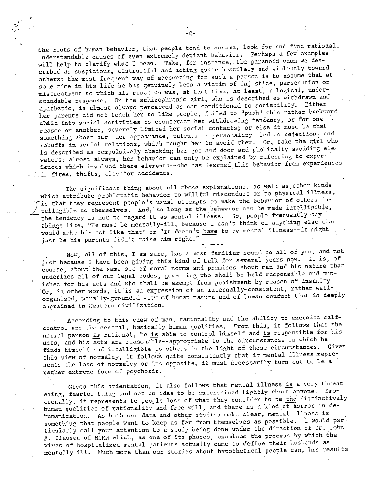the roots of human behavior, that people tend to assume, look for and find rational, understandable causes of even extrenely deviant behavior. Perhaps a few examples will help **to** clarify what **1** mean. Talce, for instance, the paranoid whom **we** described as suspicious, distrustful and **acting.** quite hostilely and violently toward others: the most frequent **way** of accounting for **sach** a person is to assume **that** at some.time in his life he **has** genuinely been a victim of injustice, persecution or mistreatment to **which** his reaction was, at that tine, at Least, a logical, understandable response. Or the schizophrenic girl, who is described as withdrawn and apathetic, is almost always perceived as not conditioned to sociability. Either her parents did not teach her to like people, failed to "push" this rather backward child into social activities to counteract her withdrawing tendency, or for one reason or another, **severely Limited** her socizl contacts; or else it must 5e that something about her--her appearance, talents or personality--ied to rejections and rebuffs in social relations, which taught her to avoid them. Or, take the girl who is described as compulsively checking her gas and door and phobically avoiding elevators: almost always, her behavior can only be explained by referring to experiences which involved these elements--she **has** learned this behavior from experiences - in **fires,** thefts, **elevator** accidents.

The significant thing about all these explanations, as well as other kinds which attribute problematic behavior to willful misconduct or to physical illness, The significant thing about all these explanations, as well as other kinds<br>which attribute problematic behavior to willful misconduct or to physical illness,<br>is that they represent people's usual attempts to make the behav telligible to themselves. And, as long as the behavior can be made intelligible,<br>the tendency is not to regard it as mental illness. So, people frequently say things like, "He must be mentally-ill, because I can't think of anything else that would make him act like that" or "It doesn't have to be mental illness--it might just be his parents didn't raise him right."

**Now, all 05** this, **1** am sure, has a most famrliar sound to all of you, and not just because I have been giving this kind of talk **for several** years now. It is, **of course,** about the same set of rcoral norms **and premises** about man and his **nature** that underlies all of our legal codes, governing who shall be held responsible and punished for his acts and who shall be exempt from punishment by reason of insanity. Or, in other words, it is an expression of an internally-consistent, rather wellorganized, morally-grounded view of human nature and of human conduct that is deeply engrained in Western civilization.

According to this view of man, rationality and the ability to exercise selfcontrol are the cent~al, **basically** human **qualities. Prom** this, it follows **that** the normal person is rational, he is able to control himself and is responsible for his acts, and his acts are reasonable--appropriate to the circumstances in which he finds himself and intelligible to others in the light of those circumstances. Given this view of normalcy, it follows quite consistently that if mental illness represents the loss of noxalcy or **its** opposite, **it** must **necessarily turn** out to be a rather **extreme** form of **psychosis.** 

**Given** this orientation, **ft** also Follows that **mental** illaess is a very threatening, fearful thing and not an idea to be entertained lizhtly about anyone. Emotionally, it **rspresents** to people loss of what they consider to be **the** distinctively human qualities of rationality and **free** will, and there is a kind of horror in dehumanization. As both our data and other studies make **clear, mental** illness is something that people want to keep as far from themselves as possible. I would particularly call your attention to a study **being** done under the direction of Dr. John A. Clausen of NIMH which, as one of its phases, examines the process by which the wives of hospitalized mental patients actually came to **define** their husbands as mentally ill. Much more than our stories about hypothetical people can, his results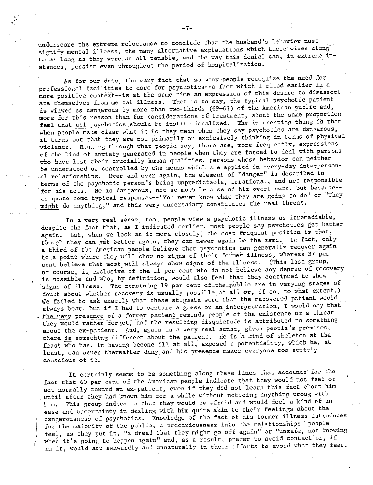underscore the extreme reluctance to conclude that the husband's behavior must signify mental illness, the many alternative explanations which these wives clung to as long as they were at all tenable, and the way this denial can, in extreme instances, persist even throughout the period of hospitalization.

As for our data, the very fact that so many people recognize the need for professional facilities to care for psychotics--a fact which I cited earlier in a more positive context--is at the same time an expression of this desire to disassociate themselves from mental illness. That is to say, the typical psychotic patient is viewed as dangerous by more than two-thirds (69+6?) of the American public and, more for this reason than for considerations of treatment, about the same proportion feel that all psychotics should be institutionalized. The interesting thing is that when people make clear what it is they mean when they say psychotics are dangerous, it turns out that they are not primarily or exclusively thinking in terms of physical violence. Running through what people say, there are, more frequently, expressions of the kind of anxiety generated in people when they are forced to deal with persons who have lost their crucially human qualities, persons whose behavior can neither be understood or controlled by the means which are applied in every-day interpersonal relationships. Over and over again, the element of "danger" is described in terms of the psychotic person's being unpredictable, irrational, and not responsible for his acts. He is dangerous, not so much because of his overt acts, but because-to quote some typical responses--"You never know what they are going to do" or "They might do anything," and this very uncertainty constitutes the real threat.

In a very real sense, too, people view a psychotic illness as irremediable, despite the fact that, as I indicated earlier, most people say psychotics get better again. But, when we look at it more closely, the most frequent position is that, though they can get better again, they can never again be the same. In fact, only a third of the American people believe that psychotics can generally recover again to a point where they will show no signs of their former illness, whereas 37 per cent believe that most will always show signs of the illness. (This last group, of course, is exclusive of the 11 per cent who do not believe any degree of recovery is possible and who, by definition, would also feel that they continued to show signs of illness. The remaining 19 per cent of the public are in varying stages of doubt about whether recovery is usually possible at all or, if so, to what extent.) We failed to ask exactly what these stigmata were that the recovered patient would always bear, but if I had to venture a guess or an interpretation, I would say that the very presence of a former patient reminds people of the existence of a threat they would rather forget, and the resulting disquietude is attributed to something about the ex-patient. And, again in a very real sense, given people's premises, there is something different about the patient. He is a kind of skeleton at the feast who has, in having become ill at all, exposed a potentiality, which he, at least, can never thereafter deny and his presence makes everyone too acutely conscious of it.

It certainly seems to be something along these lines that accounts for the fact that 60 per cent of the American people indicate that they would not feel or act normally toward an ex-patient, even if they did not learn this fact about him until after they had known him for a while without noticing anything wrong with This group indicates that they would be afraid and would feel a kind of unhim. ease and uncertainty in dealing with him quite akin to their feelings about the dangerousness of psychotics. Knowledge of the fact of his former illness introduces for the majority of the public, a precariousness into the relationship: people feel, as they put it, "a dread that they might go off again" or "unsafe, not knowing when it's going to happen again" and, as a result, prefer to avoid contact or, if in it, would act awkwardly and unnaturally in their efforts to avoid what they fear.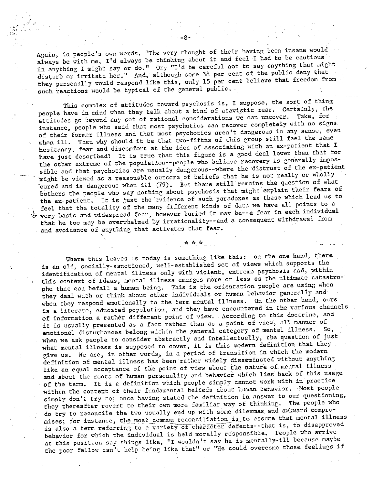Again, in people's own words, "The very thought of their having been insane would always be with me, I'd always be thinking about it and feel I had to be cautious in anything I might say or do." Or, "I'd be careful not to say anything that might disturb or irritate her." **And,** a1:hough some **38** per cent **of** the public deny that they personally would respond like this, only 15 per cent believe that freedom from such reactions would be typical of the general public.

This complex of **attitudes** toward psychosis is, I suppose, the sort of thinc people **have** in mind when they **talk about** a kind of atavistic fear. Certainly, the **attitudes** go beyond **any** set of rational considerations we can uncover. Take, for **instance,** people who **said** that **most** psychotics **can recover** completely **with** no **signs**  of their former illness and that most psychotics aren't dangerous in any sense, even when ill. Then why should it be that two-fifths of this group still feel the same hesitancy, fear and discomfort at the idea of associating with an ex-patient that I have **just** described? **It is true** that this fisure is a good deal loner than **that** for the other extreme of the population--people who believe recovery is generally impossible and that psychotics are usually dangerous--where the distrust of the ex-patient might be viewed as a **reasonable** outcome of beliefs **that** he **is not** really **or** ~ikolly cured and is dangerous when ill (79). But there still remains the question of what **bothers** the people who say nothing **about** psychosis that **mizht explain** their **fears of the** ex-patient. It is just the **evidence** of such paradoxes **as** these which lead **us to**  feel that the totality of the many different kinds of data we have all points to a ?b **very** basic and widespread fear, **however** btlried-it **nay** *be--a* fear in each individual that he too may be overwhelmed by irrationality--and a consequent withdrawal from hat he too may be overwhelmed by irrationally--and<br>nd avoidance of anything that activates that fear.<br>\*\*\*

Where this leaves us today is something like this: on the one hand, there **is** an old, socially-sanctloned, **well-established** set of views which suppcrts the identification of mental illness only with violent, extreme psychosis and, within **this conzzxt** of **ideas,** nen:al illness **emerges** more or **less** as **the ultimate** catastrophe that can befall a human being. This is the orientation people are using when they deal with or think about other individuals or human behavior generally and when they respond emotionally to the term mental illness. On the other hand; ours **fs** a literate, educated population, and they have encountered in tke various channels of inforraation a rather diffezent polnt **of view. dccordtng** to this **doctrine, and it** is usually presented as a fact rather than as a **pofnr** of **view,** all manner of emotional disturbances **beLong** within the eeneral category of mental illness. **So,**  when we ask people to consider abstractly and intellectually, the question of just **what** mental illness **is** supposed **to** cover, it is **this** modern definition that they **give** us. **We** are, in other words, in a period of transition **in** which the modern definition of mental illness has been rather widely disseminated without anything like an equal acceptance of **c5e** point of view about **the nature** of **mental** illness **and about the** roots **of** human personality **and** hehzvior **which** lies back of this **usage**  of the term. **It** is a definition which people simpljt **cannot** work wirh in practice within the context of their fundamental beliefs about human behavior. Most people **simply don't** try to; once having stated the definition in **answer** to **our** questioning, they thereafter revert to their own more familiar way of thinking. The people who do try to reconcile the two usually end up with some dilemmas and awkward compromises; for instance, the most common reconciliation is to assume that mental illness<br>is also a term referring to a variety of character defects--that is, to disapproved **behavior** fur which the indivtdual is held **ncrally** responsible. People **who arrive**  at this position say things like, "I wouldn't say he is mentally-ill because maybe the poor fellow can't help being like that" or "He could overcome those feelings if